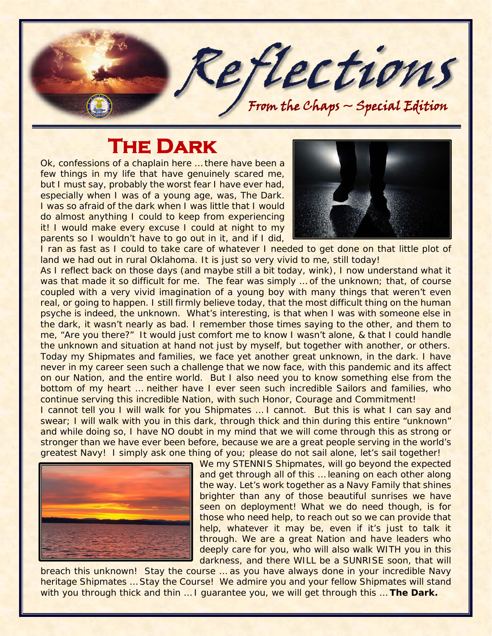

## **The Dark**

Ok, confessions of a chaplain here ... there have been a few things in my life that have genuinely scared me, but I must say, probably the worst fear I have ever had, especially when I was of a young age, was, *The Dark*. I was so afraid of the dark when I was little that I would do almost anything I could to keep from experiencing it! I would make every excuse I could at night to my parents so I wouldn't have to go out in it, and if I did,



I ran as fast as I could to take care of whatever I needed to get done on that little plot of land we had out in rural Oklahoma. It is just so very vivid to me, still today!

As I reflect back on those days (and maybe still a bit today, wink), I now understand what it was that made it so difficult for me. The fear was simply ... of the unknown; that, of course coupled with a very vivid imagination of a young boy with many things that weren't even real, or going to happen. I still firmly believe today, that the most difficult thing on the human psyche is indeed, the unknown. What's interesting, is that when I was with someone else in the dark, it wasn't nearly as bad. I remember those times saying to the other, and them to me, "Are you there?" It would just comfort me to know I wasn't alone, & that I could handle the unknown and situation at hand not just by myself, but together with another, or others. Today my Shipmates and families, we face yet another great unknown, in the dark. I have never in my career seen such a challenge that we now face, with this pandemic and its affect on our Nation, and the entire world. But I also need you to know something else from the bottom of my heart ... neither have I ever seen such incredible Sailors and families, who continue serving this incredible Nation, with such Honor, Courage and Commitment! I cannot tell you I will walk for you Shipmates ... I cannot. But this is what I can say and swear; I will walk with you in this dark, through thick and thin during this entire "unknown" and while doing so, I have NO doubt in my mind that we will come through this as strong or stronger than we have ever been before, because we are a great people serving in the world's



We my STENNIS Shipmates, will go beyond the expected and get through all of this … leaning on each other along the way. Let's work together as a Navy Family that shines brighter than any of those beautiful sunrises we have seen on deployment! What we do need though, is for those who need help, to reach out so we can provide that help, whatever it may be, even if it's just to talk it through. We are a great Nation and have leaders who deeply care for you, who will also walk WITH you in this darkness, and there WILL be a SUNRISE soon, that will

breach this unknown! Stay the course … as you have always done in your incredible Navy heritage Shipmates ... Stay the Course! We admire you and your fellow Shipmates will stand with you through thick and thin … I guarantee you, we will get through this … *The Dark.*